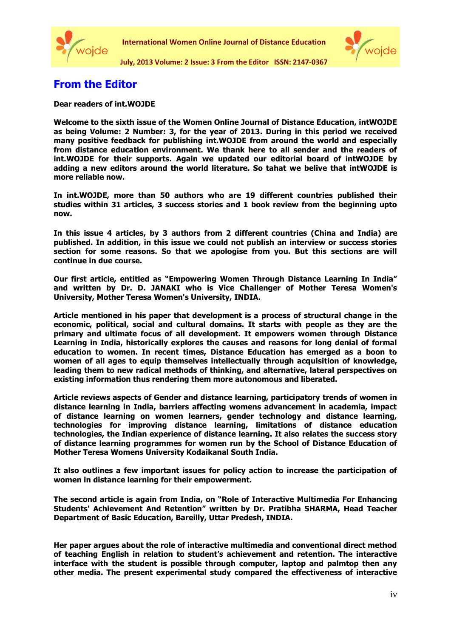



**July, 2013 Volume: 2 Issue: 3 From the Editor ISSN: 2147-0367**

## **From the Editor**

## **Dear readers of int.WOJDE**

**Welcome to the sixth issue of the Women Online Journal of Distance Education, intWOJDE as being Volume: 2 Number: 3, for the year of 2013. During in this period we received many positive feedback for publishing int.WOJDE from around the world and especially from distance education environment. We thank here to all sender and the readers of int.WOJDE for their supports. Again we updated our editorial board of intWOJDE by adding a new editors around the world literature. So tahat we belive that intWOJDE is more reliable now.**

**In int.WOJDE, more than 50 authors who are 19 different countries published their studies within 31 articles, 3 success stories and 1 book review from the beginning upto now.**

**In this issue 4 articles, by 3 authors from 2 different countries (China and India) are published. In addition, in this issue we could not publish an interview or success stories section for some reasons. So that we apologise from you. But this sections are will continue in due course.**

**Our first article, entitled as "Empowering Women Through Distance Learning In India" and written by [Dr. D. JANAKI](mailto:atwunivc@yahoo.co.in) who is Vice Challenger of Mother Teresa Women's University, Mother Teresa Women's University, INDIA.**

**Article mentioned in his paper that development is a process of structural change in the economic, political, social and cultural domains. It starts with people as they are the primary and ultimate focus of all development. It empowers women through Distance Learning in India, historically explores the causes and reasons for long denial of formal education to women. In recent times, Distance Education has emerged as a boon to women of all ages to equip themselves intellectually through acquisition of knowledge, leading them to new radical methods of thinking, and alternative, lateral perspectives on existing information thus rendering them more autonomous and liberated.**

**Article reviews aspects of Gender and distance learning, participatory trends of women in distance learning in India, barriers affecting womens advancement in academia, impact of distance learning on women learners, gender technology and distance learning, technologies for improving distance learning, limitations of distance education technologies, the Indian experience of distance learning. It also relates the success story of distance learning programmes for women run by the School of Distance Education of Mother Teresa Womens University Kodaikanal South India.** 

**It also outlines a few important issues for policy action to increase the participation of women in distance learning for their empowerment.**

**The second article is again from India, on "Role of Interactive Multimedia For Enhancing Students' Achievement And Retention" written by Dr. Pratibha SHARMA, Head Teacher Department of Basic Education, Bareilly, Uttar Predesh, INDIA.** 

**Her paper argues about the role of interactive multimedia and conventional direct method of teaching English in relation to student's achievement and retention. The interactive interface with the student is possible through computer, laptop and palmtop then any other media. The present experimental study compared the effectiveness of interactive**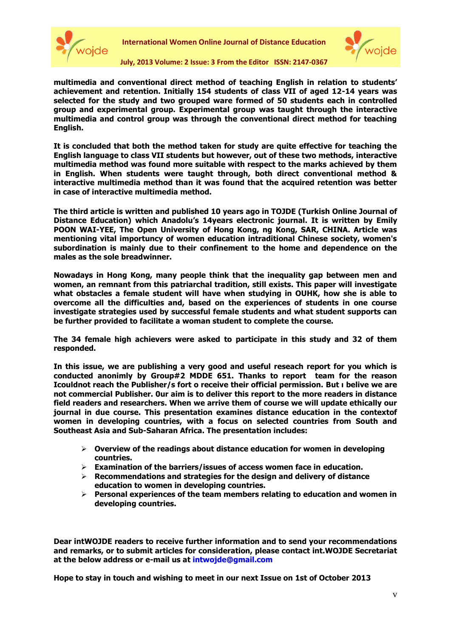



**July, 2013 Volume: 2 Issue: 3 From the Editor ISSN: 2147-0367**

**multimedia and conventional direct method of teaching English in relation to students' achievement and retention. Initially 154 students of class VII of aged 12-14 years was selected for the study and two grouped ware formed of 50 students each in controlled group and experimental group. Experimental group was taught through the interactive multimedia and control group was through the conventional direct method for teaching English.** 

**It is concluded that both the method taken for study are quite effective for teaching the English language to class VII students but however, out of these two methods, interactive multimedia method was found more suitable with respect to the marks achieved by them in English. When students were taught through, both direct conventional method & interactive multimedia method than it was found that the acquired retention was better in case of interactive multimedia method.**

**The third article is written and published 10 years ago in TOJDE (Turkish Online Journal of Distance Education) which Anadolu's 14years electronic journal. It is written by Emily POON WAI-YEE, The Open University of Hong Kong, ng Kong, SAR, CHINA. Article was mentioning vital importuncy of women education intraditional Chinese society, women's subordination is mainly due to their confinement to the home and dependence on the males as the sole breadwinner.** 

**Nowadays in Hong Kong, many people think that the inequality gap between men and women, an remnant from this patriarchal tradition, still exists. This paper will investigate what obstacles a female student will have when studying in OUHK, how she is able to overcome all the difficulties and, based on the experiences of students in one course investigate strategies used by successful female students and what student supports can be further provided to facilitate a woman student to complete the course.** 

**The 34 female high achievers were asked to participate in this study and 32 of them responded.**

**In this issue, we are publishing a very good and useful reseach report for you which is conducted anonimly by Group#2 MDDE 651. Thanks to report team for the reason Icouldnot reach the Publisher/s fort o receive their official permission. But ı belive we are not commercial Publisher. 0ur aim is to deliver this report to the more readers in distance field readers and researchers. When we arrive them of course we will update ethically our journal in due course. This presentation examines distance education in the contextof women in developing countries, with a focus on selected countries from South and Southeast Asia and Sub-Saharan Africa. The presentation includes:**

- **Overview of the readings about distance education for women in developing countries.**
- **Examination of the barriers/issues of access women face in education.**
- **Recommendations and strategies for the design and delivery of distance education to women in developing countries.**
- **Personal experiences of the team members relating to education and women in developing countries.**

**Dear intWOJDE readers to receive further information and to send your recommendations and remarks, or to submit articles for consideration, please contact int.WOJDE Secretariat at the below address or e-mail us at intwojde@gmail.com**

**Hope to stay in touch and wishing to meet in our next Issue on 1st of October 2013**